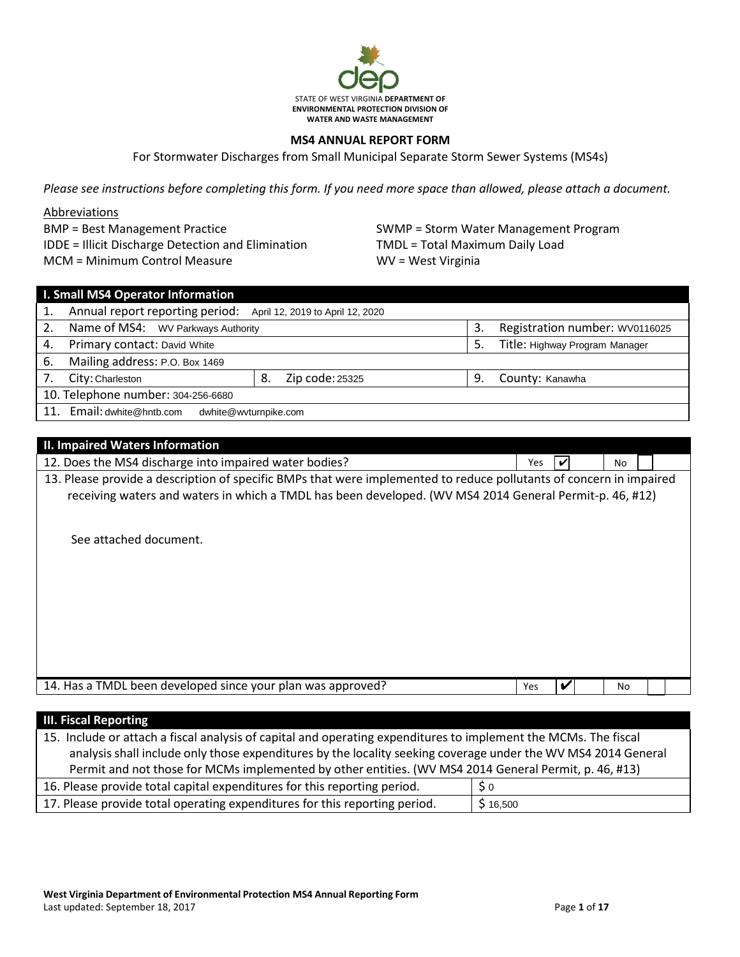

### **MS4 ANNUAL REPORT FORM**

For Stormwater Discharges from Small Municipal Separate Storm Sewer Systems (MS4s)

*Please see instructions before completing this form. If you need more space than allowed, please attach a document.*

### Abbreviations

BMP = Best Management Practice IDDE = Illicit Discharge Detection and Elimination MCM = Minimum Control Measure

SWMP = Storm Water Management Program TMDL = Total Maximum Daily Load WV = West Virginia

| I. Small MS4 Operator Information  |                                                                  |    |                 |    |                                |  |  |  |
|------------------------------------|------------------------------------------------------------------|----|-----------------|----|--------------------------------|--|--|--|
|                                    | Annual report reporting period: April 12, 2019 to April 12, 2020 |    |                 |    |                                |  |  |  |
| 2.                                 | Name of MS4: WV Parkways Authority                               |    |                 | 3. | Registration number: WV0116025 |  |  |  |
| 4.                                 | Primary contact: David White                                     |    |                 | 5. | Title: Highway Program Manager |  |  |  |
| 6.                                 | Mailing address: P.O. Box 1469                                   |    |                 |    |                                |  |  |  |
| 7.                                 | City: Charleston                                                 | 8. | Zip code: 25325 | 9  | County: Kanawha                |  |  |  |
| 10. Telephone number: 304-256-6680 |                                                                  |    |                 |    |                                |  |  |  |
|                                    | 11. Email: dwhite@hntb.com<br>dwhite@wvturnpike.com              |    |                 |    |                                |  |  |  |

| <b>II. Impaired Waters Information</b>                                                                              |            |   |     |  |
|---------------------------------------------------------------------------------------------------------------------|------------|---|-----|--|
| 12. Does the MS4 discharge into impaired water bodies?                                                              | Yes        |   | No  |  |
| 13. Please provide a description of specific BMPs that were implemented to reduce pollutants of concern in impaired |            |   |     |  |
| receiving waters and waters in which a TMDL has been developed. (WV MS4 2014 General Permit-p. 46, #12)             |            |   |     |  |
|                                                                                                                     |            |   |     |  |
|                                                                                                                     |            |   |     |  |
| See attached document.                                                                                              |            |   |     |  |
|                                                                                                                     |            |   |     |  |
|                                                                                                                     |            |   |     |  |
|                                                                                                                     |            |   |     |  |
|                                                                                                                     |            |   |     |  |
|                                                                                                                     |            |   |     |  |
|                                                                                                                     |            |   |     |  |
|                                                                                                                     |            |   |     |  |
| 14. Has a TMDL been developed since your plan was approved?                                                         | <b>Yes</b> | V | No. |  |
|                                                                                                                     |            |   |     |  |

| <b>III. Fiscal Reporting</b>                                                                                    |                |  |  |  |
|-----------------------------------------------------------------------------------------------------------------|----------------|--|--|--|
| 15. Include or attach a fiscal analysis of capital and operating expenditures to implement the MCMs. The fiscal |                |  |  |  |
| analysis shall include only those expenditures by the locality seeking coverage under the WV MS4 2014 General   |                |  |  |  |
| Permit and not those for MCMs implemented by other entities. (WV MS4 2014 General Permit, p. 46, #13)           |                |  |  |  |
| 16. Please provide total capital expenditures for this reporting period.                                        | S <sub>0</sub> |  |  |  |
| 17. Please provide total operating expenditures for this reporting period.                                      | \$16,500       |  |  |  |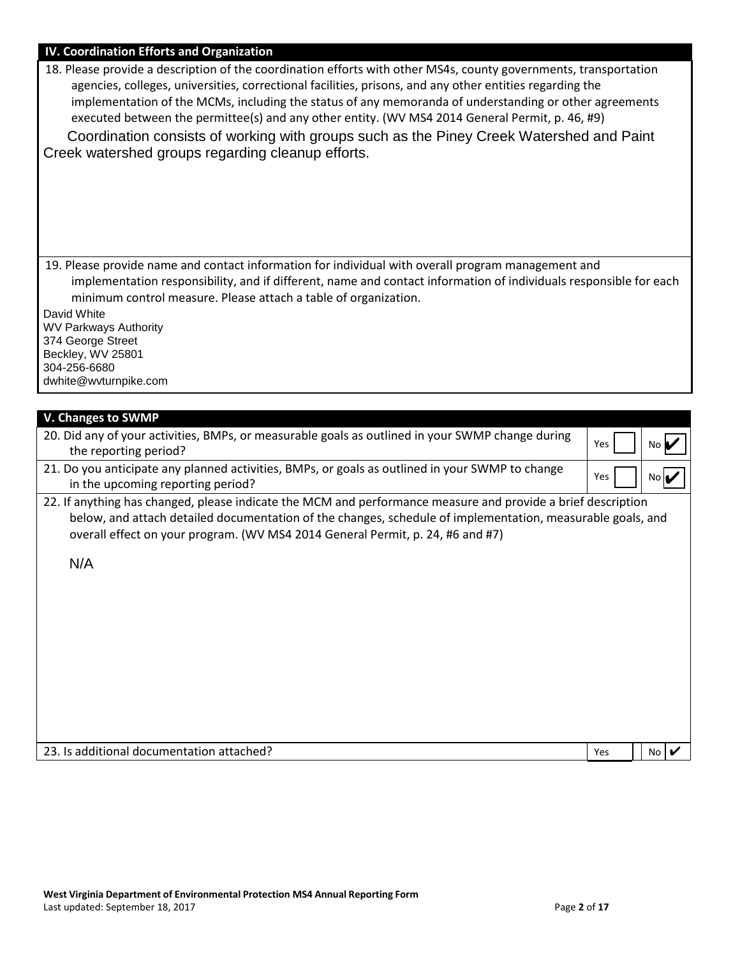| 22. If anything has changed, please indicate the MCM and performance measure and provide a brief description<br>below, and attach detailed documentation of the changes, schedule of implementation, measurable goals, and<br>overall effect on your program. (WV MS4 2014 General Permit, p. 24, #6 and #7)<br>N/A |  |      |  |  |
|---------------------------------------------------------------------------------------------------------------------------------------------------------------------------------------------------------------------------------------------------------------------------------------------------------------------|--|------|--|--|
|                                                                                                                                                                                                                                                                                                                     |  |      |  |  |
|                                                                                                                                                                                                                                                                                                                     |  |      |  |  |
|                                                                                                                                                                                                                                                                                                                     |  |      |  |  |
|                                                                                                                                                                                                                                                                                                                     |  |      |  |  |
|                                                                                                                                                                                                                                                                                                                     |  |      |  |  |
|                                                                                                                                                                                                                                                                                                                     |  |      |  |  |
|                                                                                                                                                                                                                                                                                                                     |  |      |  |  |
|                                                                                                                                                                                                                                                                                                                     |  |      |  |  |
| 21. Do you anticipate any planned activities, BMPs, or goals as outlined in your SWMP to change<br>Yes<br>in the upcoming reporting period?                                                                                                                                                                         |  | No∣✔ |  |  |
| Yes<br>the reporting period?                                                                                                                                                                                                                                                                                        |  | No I |  |  |
| V. Changes to SWMP<br>20. Did any of your activities, BMPs, or measurable goals as outlined in your SWMP change during                                                                                                                                                                                              |  |      |  |  |
|                                                                                                                                                                                                                                                                                                                     |  |      |  |  |
| dwhite@wvturnpike.com                                                                                                                                                                                                                                                                                               |  |      |  |  |
| Beckley, WV 25801<br>304-256-6680                                                                                                                                                                                                                                                                                   |  |      |  |  |
| <b>WV Parkways Authority</b><br>374 George Street                                                                                                                                                                                                                                                                   |  |      |  |  |
| David White                                                                                                                                                                                                                                                                                                         |  |      |  |  |
| implementation responsibility, and if different, name and contact information of individuals responsible for each<br>minimum control measure. Please attach a table of organization.                                                                                                                                |  |      |  |  |
| 19. Please provide name and contact information for individual with overall program management and                                                                                                                                                                                                                  |  |      |  |  |
|                                                                                                                                                                                                                                                                                                                     |  |      |  |  |
| Coordination consists of working with groups such as the Piney Creek Watershed and Paint<br>Creek watershed groups regarding cleanup efforts.                                                                                                                                                                       |  |      |  |  |
| implementation of the MCMs, including the status of any memoranda of understanding or other agreements<br>executed between the permittee(s) and any other entity. (WV MS4 2014 General Permit, p. 46, #9)                                                                                                           |  |      |  |  |
|                                                                                                                                                                                                                                                                                                                     |  |      |  |  |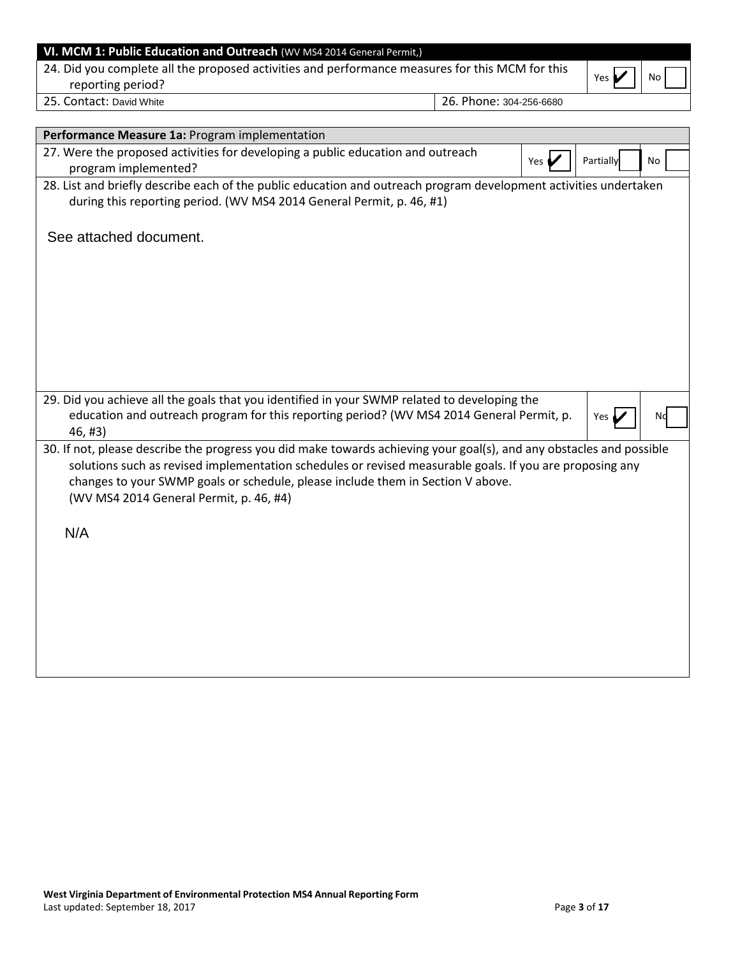| 24. Did you complete all the proposed activities and performance measures for this MCM for this<br>reporting period? | No<br>Yes                                                                                                         |
|----------------------------------------------------------------------------------------------------------------------|-------------------------------------------------------------------------------------------------------------------|
| 25. Contact: David White                                                                                             | 26. Phone: 304-256-6680                                                                                           |
| Performance Measure 1a: Program implementation                                                                       |                                                                                                                   |
| 27. Were the proposed activities for developing a public education and outreach<br>program implemented?              | Yes $\blacktriangleright$<br>Partially<br>No                                                                      |
| during this reporting period. (WV MS4 2014 General Permit, p. 46, #1)                                                | 28. List and briefly describe each of the public education and outreach program development activities undertaken |
| See attached document.                                                                                               |                                                                                                                   |
|                                                                                                                      |                                                                                                                   |
|                                                                                                                      |                                                                                                                   |
|                                                                                                                      |                                                                                                                   |

| 29. Did you achieve all the goals that you identified in your SWMP related to developing the<br>education and outreach program for this reporting period? (WV MS4 2014 General Permit, p.<br>$46. \#3)$ | Yes $\nu$ | NQ |  |  |  |
|---------------------------------------------------------------------------------------------------------------------------------------------------------------------------------------------------------|-----------|----|--|--|--|
| 30. If not, please describe the progress you did make towards achieving your goal(s), and any obstacles and possible                                                                                    |           |    |  |  |  |

| <u>serificed prease acsoring the propress you ard make to marias achieving your goal(s)) and any obstacles and possibile</u> |  |
|------------------------------------------------------------------------------------------------------------------------------|--|
| solutions such as revised implementation schedules or revised measurable goals. If you are proposing any                     |  |
| changes to your SWMP goals or schedule, please include them in Section V above.                                              |  |
| (WV MS4 2014 General Permit, p. 46, #4)                                                                                      |  |

N/A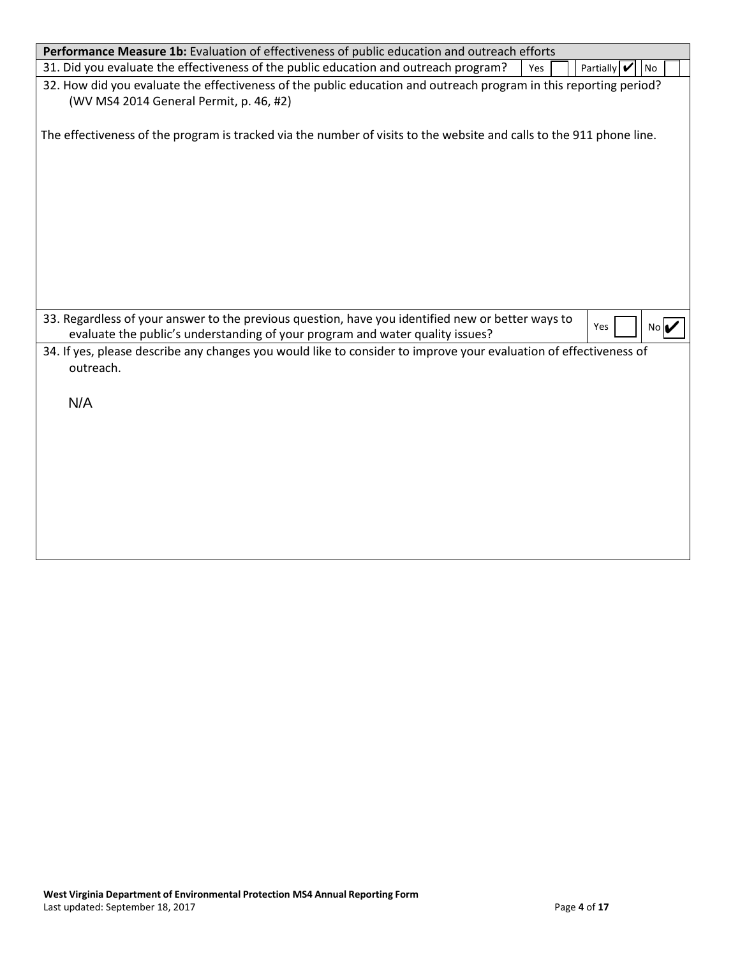| Performance Measure 1b: Evaluation of effectiveness of public education and outreach efforts                                                                                                      |
|---------------------------------------------------------------------------------------------------------------------------------------------------------------------------------------------------|
| 31. Did you evaluate the effectiveness of the public education and outreach program?<br>Partially V<br>Yes<br>No                                                                                  |
| 32. How did you evaluate the effectiveness of the public education and outreach program in this reporting period?<br>(WV MS4 2014 General Permit, p. 46, #2)                                      |
| The effectiveness of the program is tracked via the number of visits to the website and calls to the 911 phone line.                                                                              |
|                                                                                                                                                                                                   |
|                                                                                                                                                                                                   |
|                                                                                                                                                                                                   |
|                                                                                                                                                                                                   |
| 33. Regardless of your answer to the previous question, have you identified new or better ways to<br>Yes<br>No I<br>evaluate the public's understanding of your program and water quality issues? |
| 34. If yes, please describe any changes you would like to consider to improve your evaluation of effectiveness of<br>outreach.                                                                    |
| N/A                                                                                                                                                                                               |
|                                                                                                                                                                                                   |
|                                                                                                                                                                                                   |
|                                                                                                                                                                                                   |
|                                                                                                                                                                                                   |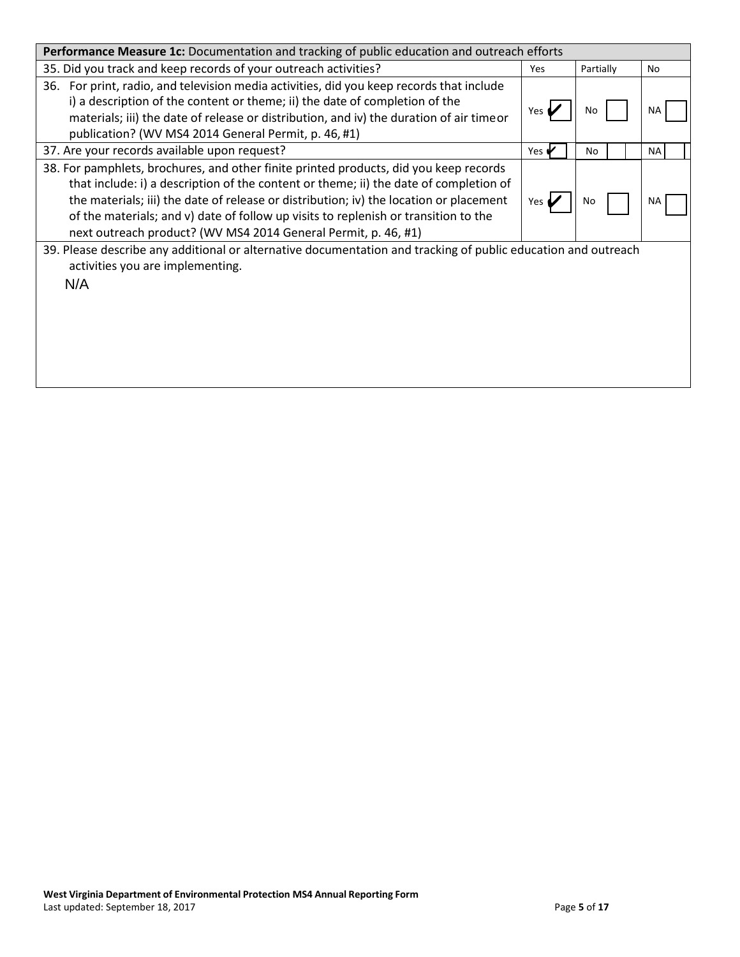| Performance Measure 1c: Documentation and tracking of public education and outreach efforts                                                                                                                                                                                                                                                                                                                                       |                          |           |           |  |
|-----------------------------------------------------------------------------------------------------------------------------------------------------------------------------------------------------------------------------------------------------------------------------------------------------------------------------------------------------------------------------------------------------------------------------------|--------------------------|-----------|-----------|--|
| 35. Did you track and keep records of your outreach activities?                                                                                                                                                                                                                                                                                                                                                                   | Yes                      | Partially | No        |  |
| 36. For print, radio, and television media activities, did you keep records that include<br>i) a description of the content or theme; ii) the date of completion of the<br>materials; iii) the date of release or distribution, and iv) the duration of air timeor<br>publication? (WV MS4 2014 General Permit, p. 46, #1)                                                                                                        | Yes                      | No        | NΑ        |  |
| 37. Are your records available upon request?                                                                                                                                                                                                                                                                                                                                                                                      | Yes $\blacktriangledown$ | No        | <b>NA</b> |  |
| 38. For pamphlets, brochures, and other finite printed products, did you keep records<br>that include: i) a description of the content or theme; ii) the date of completion of<br>the materials; iii) the date of release or distribution; iv) the location or placement<br>of the materials; and v) date of follow up visits to replenish or transition to the<br>next outreach product? (WV MS4 2014 General Permit, p. 46, #1) | Yes                      | No        | NA        |  |
| 39. Please describe any additional or alternative documentation and tracking of public education and outreach<br>activities you are implementing.<br>N/A                                                                                                                                                                                                                                                                          |                          |           |           |  |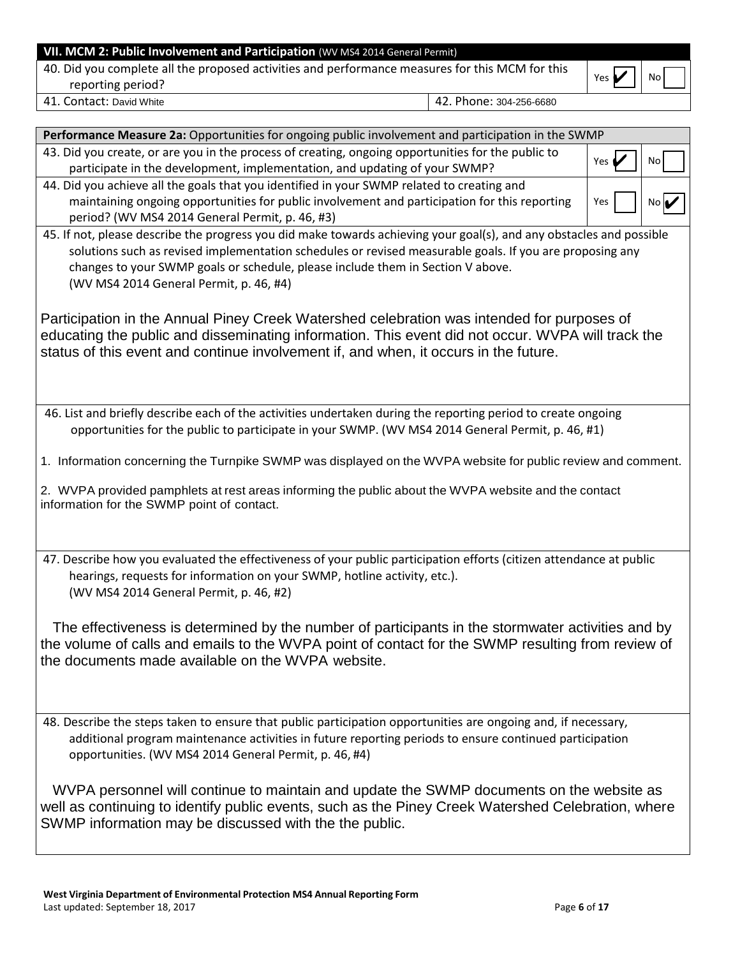| VII. MCM 2: Public Involvement and Participation (WV MS4 2014 General Permit)                                        |                         |              |    |  |  |
|----------------------------------------------------------------------------------------------------------------------|-------------------------|--------------|----|--|--|
| 40. Did you complete all the proposed activities and performance measures for this MCM for this<br>reporting period? |                         | Yes $\nabla$ | No |  |  |
| 41. Contact: David White                                                                                             | 42. Phone: 304-256-6680 |              |    |  |  |

| Performance Measure 2a: Opportunities for ongoing public involvement and participation in the SWMP                                                                                                                                                                                                                                                             |       |      |
|----------------------------------------------------------------------------------------------------------------------------------------------------------------------------------------------------------------------------------------------------------------------------------------------------------------------------------------------------------------|-------|------|
| 43. Did you create, or are you in the process of creating, ongoing opportunities for the public to<br>participate in the development, implementation, and updating of your SWMP?                                                                                                                                                                               | Yes ( | No   |
| 44. Did you achieve all the goals that you identified in your SWMP related to creating and                                                                                                                                                                                                                                                                     |       |      |
| maintaining ongoing opportunities for public involvement and participation for this reporting                                                                                                                                                                                                                                                                  | Yes   | No k |
| period? (WV MS4 2014 General Permit, p. 46, #3)                                                                                                                                                                                                                                                                                                                |       |      |
| 45. If not, please describe the progress you did make towards achieving your goal(s), and any obstacles and possible<br>solutions such as revised implementation schedules or revised measurable goals. If you are proposing any<br>changes to your SWMP goals or schedule, please include them in Section V above.<br>(WV MS4 2014 General Permit, p. 46, #4) |       |      |
| Participation in the Annual Piney Creek Watershed celebration was intended for purposes of<br>educating the public and disseminating information. This event did not occur. WVPA will track the<br>status of this event and continue involvement if, and when, it occurs in the future.                                                                        |       |      |
| 46. List and briefly describe each of the activities undertaken during the reporting period to create ongoing                                                                                                                                                                                                                                                  |       |      |
| opportunities for the public to participate in your SWMP. (WV MS4 2014 General Permit, p. 46, #1)                                                                                                                                                                                                                                                              |       |      |
| 1. Information concerning the Turnpike SWMP was displayed on the WVPA website for public review and comment.                                                                                                                                                                                                                                                   |       |      |
| 2. WVPA provided pamphlets at rest areas informing the public about the WVPA website and the contact<br>information for the SWMP point of contact.                                                                                                                                                                                                             |       |      |
| 47. Describe how you evaluated the effectiveness of your public participation efforts (citizen attendance at public<br>hearings, requests for information on your SWMP, hotline activity, etc.).<br>(WV MS4 2014 General Permit, p. 46, #2)                                                                                                                    |       |      |
| The effectiveness is determined by the number of participants in the stormwater activities and by<br>the volume of calls and emails to the WVPA point of contact for the SWMP resulting from review of<br>the documents made available on the WVPA website.                                                                                                    |       |      |
| 48. Describe the steps taken to ensure that public participation opportunities are ongoing and, if necessary,<br>additional program maintenance activities in future reporting periods to ensure continued participation<br>opportunities. (WV MS4 2014 General Permit, p. 46, #4)                                                                             |       |      |
| WVPA personnel will continue to maintain and update the SWMP documents on the website as<br>well as continuing to identify public events, such as the Piney Creek Watershed Celebration, where<br>SWMP information may be discussed with the the public.                                                                                                       |       |      |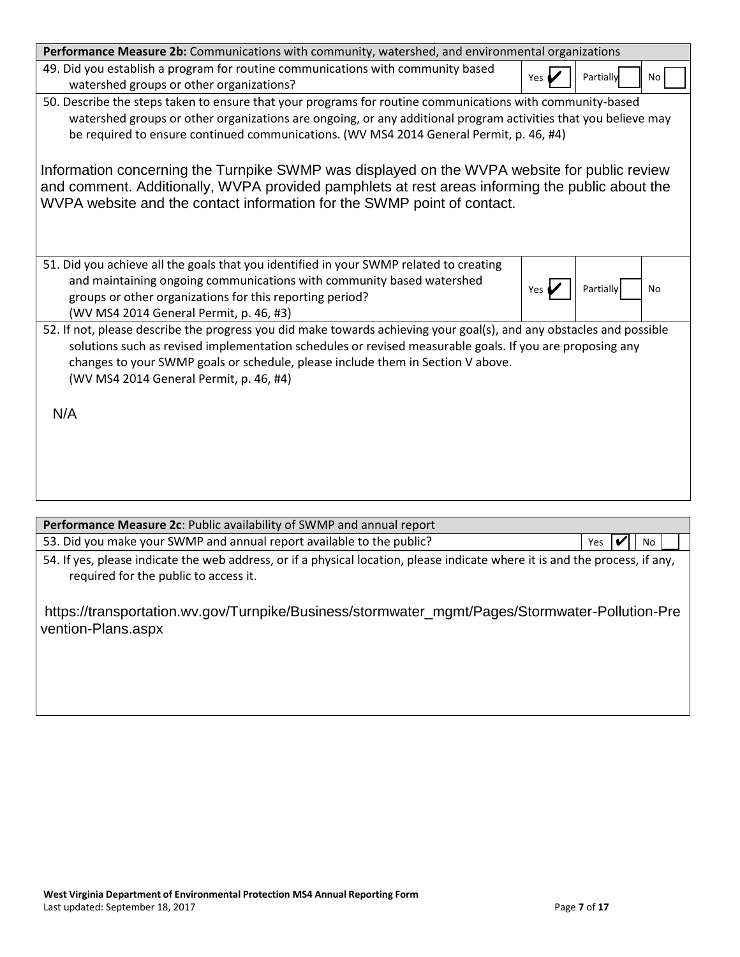| Performance Measure 2b: Communications with community, watershed, and environmental organizations                                                                                                                                                                                                                                                                     |       |           |    |
|-----------------------------------------------------------------------------------------------------------------------------------------------------------------------------------------------------------------------------------------------------------------------------------------------------------------------------------------------------------------------|-------|-----------|----|
| 49. Did you establish a program for routine communications with community based<br>watershed groups or other organizations?                                                                                                                                                                                                                                           | Yes ( | Partially | No |
| 50. Describe the steps taken to ensure that your programs for routine communications with community-based<br>watershed groups or other organizations are ongoing, or any additional program activities that you believe may<br>be required to ensure continued communications. (WV MS4 2014 General Permit, p. 46, #4)                                                |       |           |    |
| Information concerning the Turnpike SWMP was displayed on the WVPA website for public review<br>and comment. Additionally, WVPA provided pamphlets at rest areas informing the public about the<br>WVPA website and the contact information for the SWMP point of contact.                                                                                            |       |           |    |
| 51. Did you achieve all the goals that you identified in your SWMP related to creating<br>and maintaining ongoing communications with community based watershed<br>groups or other organizations for this reporting period?<br>(WV MS4 2014 General Permit, p. 46, #3)                                                                                                | Yes.  | Partially | No |
| 52. If not, please describe the progress you did make towards achieving your goal(s), and any obstacles and possible<br>solutions such as revised implementation schedules or revised measurable goals. If you are proposing any<br>changes to your SWMP goals or schedule, please include them in Section V above.<br>(WV MS4 2014 General Permit, p. 46, #4)<br>N/A |       |           |    |
|                                                                                                                                                                                                                                                                                                                                                                       |       |           |    |

| Performance Measure 2c: Public availability of SWMP and annual report                                                                                                 |     |    |  |
|-----------------------------------------------------------------------------------------------------------------------------------------------------------------------|-----|----|--|
| 53. Did you make your SWMP and annual report available to the public?                                                                                                 | Yes | No |  |
| 54. If yes, please indicate the web address, or if a physical location, please indicate where it is and the process, if any,<br>required for the public to access it. |     |    |  |
| https://transportation.wv.gov/Turnpike/Business/stormwater_mgmt/Pages/Stormwater-Pollution-Pre<br>vention-Plans.aspx                                                  |     |    |  |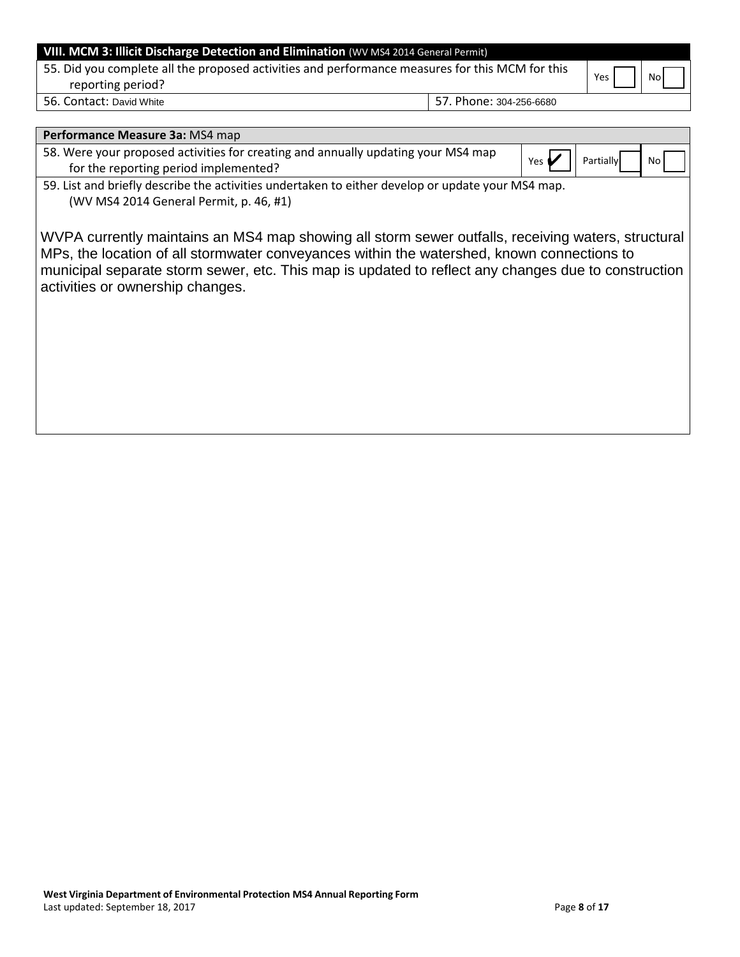| VIII. MCM 3: Illicit Discharge Detection and Elimination (WV MS4 2014 General Permit)                                |                         |     |    |
|----------------------------------------------------------------------------------------------------------------------|-------------------------|-----|----|
| 55. Did you complete all the proposed activities and performance measures for this MCM for this<br>reporting period? |                         | Yes | No |
| 56. Contact: David White                                                                                             | 57. Phone: 304-256-6680 |     |    |

| Performance Measure 3a: MS4 map                                                                                                                                                                                                                                                                                                             |       |                  |    |
|---------------------------------------------------------------------------------------------------------------------------------------------------------------------------------------------------------------------------------------------------------------------------------------------------------------------------------------------|-------|------------------|----|
| 58. Were your proposed activities for creating and annually updating your MS4 map<br>for the reporting period implemented?                                                                                                                                                                                                                  | Yes ( | <b>Partially</b> | No |
| 59. List and briefly describe the activities undertaken to either develop or update your MS4 map.<br>(WV MS4 2014 General Permit, p. 46, #1)                                                                                                                                                                                                |       |                  |    |
| WVPA currently maintains an MS4 map showing all storm sewer outfalls, receiving waters, structural<br>MPs, the location of all stormwater conveyances within the watershed, known connections to<br>municipal separate storm sewer, etc. This map is updated to reflect any changes due to construction<br>activities or ownership changes. |       |                  |    |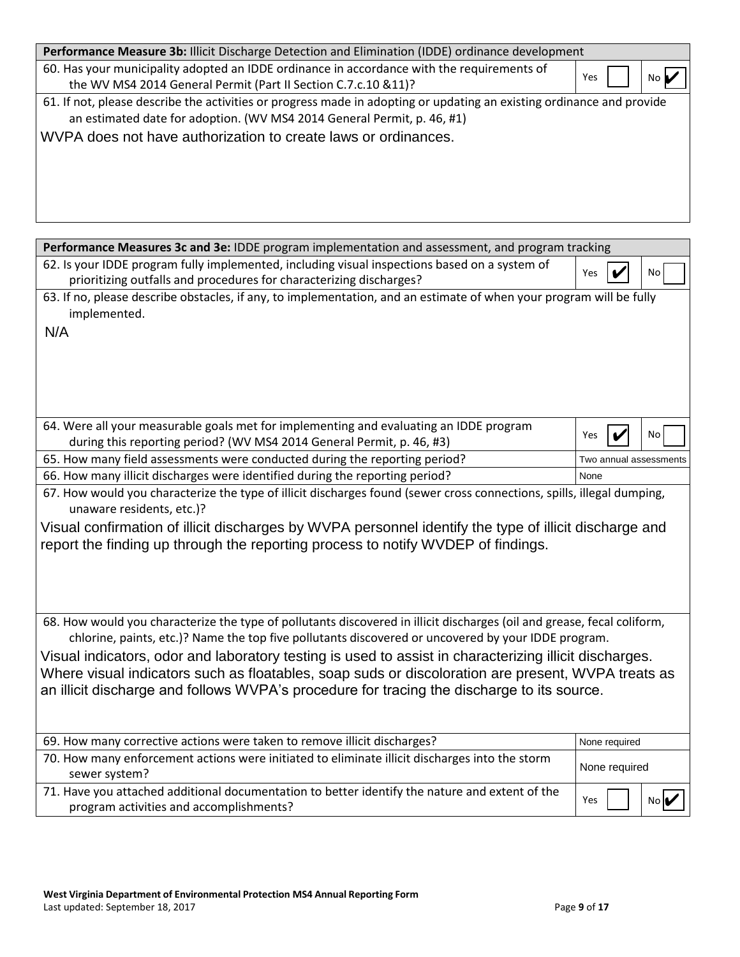| Performance Measure 3b: Illicit Discharge Detection and Elimination (IDDE) ordinance development                                                                                                                                                                   |     |     |
|--------------------------------------------------------------------------------------------------------------------------------------------------------------------------------------------------------------------------------------------------------------------|-----|-----|
| 60. Has your municipality adopted an IDDE ordinance in accordance with the requirements of<br>the WV MS4 2014 General Permit (Part II Section C.7.c.10 &11)?                                                                                                       | Yes | Nc. |
| 61. If not, please describe the activities or progress made in adopting or updating an existing ordinance and provide<br>an estimated date for adoption. (WV MS4 2014 General Permit, p. 46, #1)<br>WVPA does not have authorization to create laws or ordinances. |     |     |

| Performance Measures 3c and 3e: IDDE program implementation and assessment, and program tracking                                                                     |               |                        |
|----------------------------------------------------------------------------------------------------------------------------------------------------------------------|---------------|------------------------|
| 62. Is your IDDE program fully implemented, including visual inspections based on a system of<br>prioritizing outfalls and procedures for characterizing discharges? | Yes           | No                     |
| 63. If no, please describe obstacles, if any, to implementation, and an estimate of when your program will be fully<br>implemented.                                  |               |                        |
| N/A                                                                                                                                                                  |               |                        |
|                                                                                                                                                                      |               |                        |
|                                                                                                                                                                      |               |                        |
|                                                                                                                                                                      |               |                        |
| 64. Were all your measurable goals met for implementing and evaluating an IDDE program                                                                               |               | No                     |
| during this reporting period? (WV MS4 2014 General Permit, p. 46, #3)                                                                                                | Yes           |                        |
| 65. How many field assessments were conducted during the reporting period?                                                                                           |               | Two annual assessments |
| 66. How many illicit discharges were identified during the reporting period?                                                                                         | None          |                        |
| 67. How would you characterize the type of illicit discharges found (sewer cross connections, spills, illegal dumping,<br>unaware residents, etc.)?                  |               |                        |
| Visual confirmation of illicit discharges by WVPA personnel identify the type of illicit discharge and                                                               |               |                        |
| report the finding up through the reporting process to notify WVDEP of findings.                                                                                     |               |                        |
|                                                                                                                                                                      |               |                        |
|                                                                                                                                                                      |               |                        |
|                                                                                                                                                                      |               |                        |
| 68. How would you characterize the type of pollutants discovered in illicit discharges (oil and grease, fecal coliform,                                              |               |                        |
| chlorine, paints, etc.)? Name the top five pollutants discovered or uncovered by your IDDE program.                                                                  |               |                        |
| Visual indicators, odor and laboratory testing is used to assist in characterizing illicit discharges.                                                               |               |                        |
| Where visual indicators such as floatables, soap suds or discoloration are present, WVPA treats as                                                                   |               |                        |
| an illicit discharge and follows WVPA's procedure for tracing the discharge to its source.                                                                           |               |                        |
|                                                                                                                                                                      |               |                        |
|                                                                                                                                                                      |               |                        |
| 69. How many corrective actions were taken to remove illicit discharges?                                                                                             | None required |                        |
| 70. How many enforcement actions were initiated to eliminate illicit discharges into the storm                                                                       |               |                        |
| sewer system?                                                                                                                                                        | None required |                        |
| 71. Have you attached additional documentation to better identify the nature and extent of the                                                                       | Yes           | No I                   |
| program activities and accomplishments?                                                                                                                              |               |                        |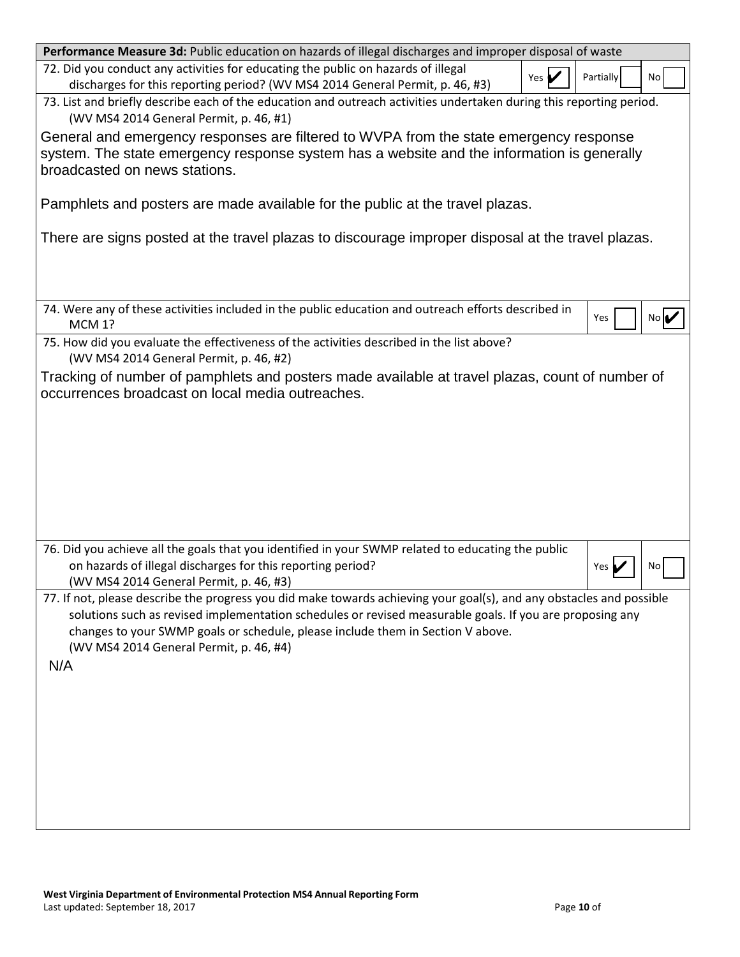| Performance Measure 3d: Public education on hazards of illegal discharges and improper disposal of waste                                                                                                                                                                                                                                                              |
|-----------------------------------------------------------------------------------------------------------------------------------------------------------------------------------------------------------------------------------------------------------------------------------------------------------------------------------------------------------------------|
| 72. Did you conduct any activities for educating the public on hazards of illegal<br>Partially<br>Yes $\blacktriangleright$<br>No<br>discharges for this reporting period? (WV MS4 2014 General Permit, p. 46, #3)                                                                                                                                                    |
| 73. List and briefly describe each of the education and outreach activities undertaken during this reporting period.<br>(WV MS4 2014 General Permit, p. 46, #1)                                                                                                                                                                                                       |
| General and emergency responses are filtered to WVPA from the state emergency response<br>system. The state emergency response system has a website and the information is generally<br>broadcasted on news stations.                                                                                                                                                 |
| Pamphlets and posters are made available for the public at the travel plazas.                                                                                                                                                                                                                                                                                         |
| There are signs posted at the travel plazas to discourage improper disposal at the travel plazas.                                                                                                                                                                                                                                                                     |
| 74. Were any of these activities included in the public education and outreach efforts described in<br>Yes<br>No<br><b>MCM 1?</b>                                                                                                                                                                                                                                     |
| 75. How did you evaluate the effectiveness of the activities described in the list above?<br>(WV MS4 2014 General Permit, p. 46, #2)                                                                                                                                                                                                                                  |
| Tracking of number of pamphlets and posters made available at travel plazas, count of number of<br>occurrences broadcast on local media outreaches.                                                                                                                                                                                                                   |
|                                                                                                                                                                                                                                                                                                                                                                       |
| 76. Did you achieve all the goals that you identified in your SWMP related to educating the public<br>on hazards of illegal discharges for this reporting period?<br>No<br>Yes  <br>(WV MS4 2014 General Permit, p. 46, #3)                                                                                                                                           |
| 77. If not, please describe the progress you did make towards achieving your goal(s), and any obstacles and possible<br>solutions such as revised implementation schedules or revised measurable goals. If you are proposing any<br>changes to your SWMP goals or schedule, please include them in Section V above.<br>(WV MS4 2014 General Permit, p. 46, #4)<br>N/A |
|                                                                                                                                                                                                                                                                                                                                                                       |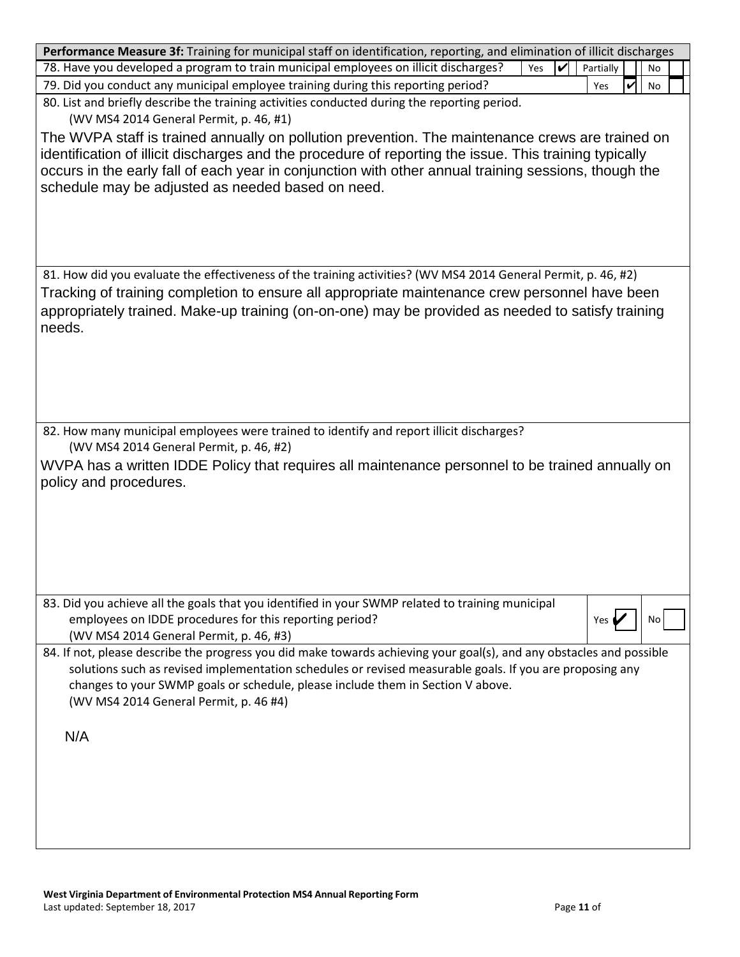| Performance Measure 3f: Training for municipal staff on identification, reporting, and elimination of illicit discharges            |           |    |
|-------------------------------------------------------------------------------------------------------------------------------------|-----------|----|
| 78. Have you developed a program to train municipal employees on illicit discharges?<br>Yes<br>✓                                    | Partially | No |
| 79. Did you conduct any municipal employee training during this reporting period?                                                   | Yes<br>V  | No |
| 80. List and briefly describe the training activities conducted during the reporting period.                                        |           |    |
| (WV MS4 2014 General Permit, p. 46, #1)                                                                                             |           |    |
|                                                                                                                                     |           |    |
| The WVPA staff is trained annually on pollution prevention. The maintenance crews are trained on                                    |           |    |
| identification of illicit discharges and the procedure of reporting the issue. This training typically                              |           |    |
| occurs in the early fall of each year in conjunction with other annual training sessions, though the                                |           |    |
| schedule may be adjusted as needed based on need.                                                                                   |           |    |
|                                                                                                                                     |           |    |
|                                                                                                                                     |           |    |
|                                                                                                                                     |           |    |
|                                                                                                                                     |           |    |
| 81. How did you evaluate the effectiveness of the training activities? (WV MS4 2014 General Permit, p. 46, #2)                      |           |    |
| Tracking of training completion to ensure all appropriate maintenance crew personnel have been                                      |           |    |
| appropriately trained. Make-up training (on-on-one) may be provided as needed to satisfy training                                   |           |    |
| needs.                                                                                                                              |           |    |
|                                                                                                                                     |           |    |
|                                                                                                                                     |           |    |
|                                                                                                                                     |           |    |
|                                                                                                                                     |           |    |
|                                                                                                                                     |           |    |
| 82. How many municipal employees were trained to identify and report illicit discharges?<br>(WV MS4 2014 General Permit, p. 46, #2) |           |    |
|                                                                                                                                     |           |    |
| WVPA has a written IDDE Policy that requires all maintenance personnel to be trained annually on                                    |           |    |
| policy and procedures.                                                                                                              |           |    |
|                                                                                                                                     |           |    |
|                                                                                                                                     |           |    |
|                                                                                                                                     |           |    |
|                                                                                                                                     |           |    |
|                                                                                                                                     |           |    |
| 83. Did you achieve all the goals that you identified in your SWMP related to training municipal                                    |           |    |
| employees on IDDE procedures for this reporting period?                                                                             | Yes (     | No |
| (WV MS4 2014 General Permit, p. 46, #3)                                                                                             |           |    |
| 84. If not, please describe the progress you did make towards achieving your goal(s), and any obstacles and possible                |           |    |
| solutions such as revised implementation schedules or revised measurable goals. If you are proposing any                            |           |    |
| changes to your SWMP goals or schedule, please include them in Section V above.                                                     |           |    |
| (WV MS4 2014 General Permit, p. 46 #4)                                                                                              |           |    |
|                                                                                                                                     |           |    |
| N/A                                                                                                                                 |           |    |
|                                                                                                                                     |           |    |
|                                                                                                                                     |           |    |
|                                                                                                                                     |           |    |
|                                                                                                                                     |           |    |
|                                                                                                                                     |           |    |
|                                                                                                                                     |           |    |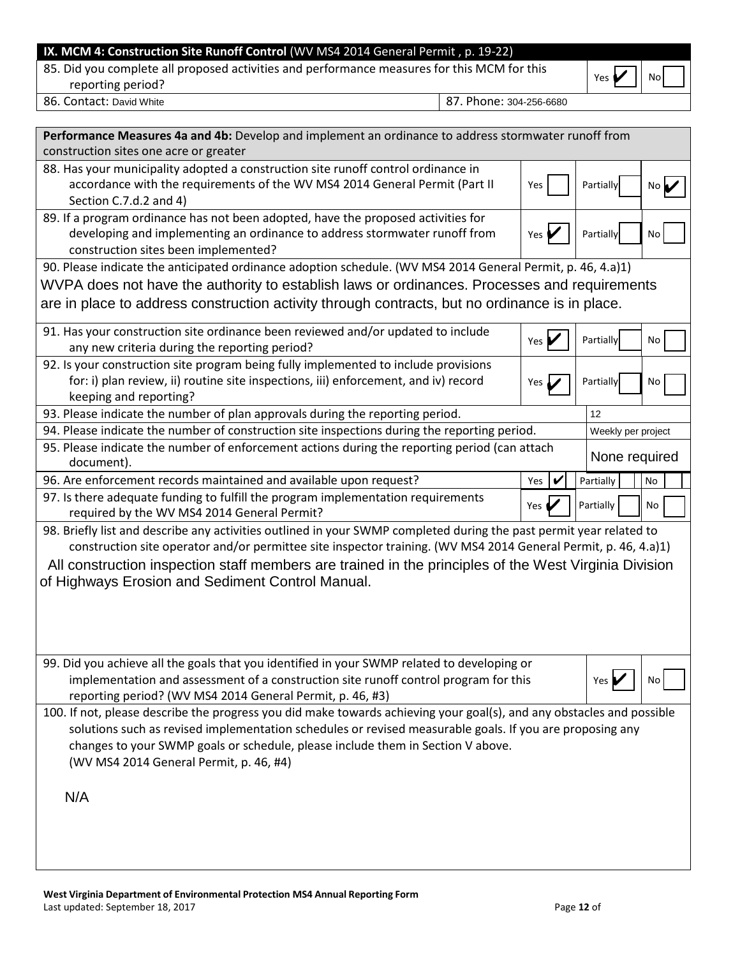## **IX. MCM 4: Construction Site Runoff Control** (WV MS4 2014 General Permit , p. 19-22)

85. Did you complete all proposed activities and performance measures for this MCM for this  $\bigcap_{Y \in S} \bullet Y$  No

| ρç | No: |  |
|----|-----|--|
|----|-----|--|

86. Contact: David White 88. Contact: David White 87. Phone: 304-256-6680

| Performance Measures 4a and 4b: Develop and implement an ordinance to address stormwater runoff from                                                                                                                                                                                                                                                            |                              |                    |    |
|-----------------------------------------------------------------------------------------------------------------------------------------------------------------------------------------------------------------------------------------------------------------------------------------------------------------------------------------------------------------|------------------------------|--------------------|----|
| construction sites one acre or greater                                                                                                                                                                                                                                                                                                                          |                              |                    |    |
| 88. Has your municipality adopted a construction site runoff control ordinance in<br>accordance with the requirements of the WV MS4 2014 General Permit (Part II<br>Section C.7.d.2 and 4)                                                                                                                                                                      | Yes                          | Partially          | No |
| 89. If a program ordinance has not been adopted, have the proposed activities for                                                                                                                                                                                                                                                                               |                              |                    |    |
| developing and implementing an ordinance to address stormwater runoff from<br>construction sites been implemented?                                                                                                                                                                                                                                              | Yes                          | Partially          | No |
| 90. Please indicate the anticipated ordinance adoption schedule. (WV MS4 2014 General Permit, p. 46, 4.a)1)                                                                                                                                                                                                                                                     |                              |                    |    |
| WVPA does not have the authority to establish laws or ordinances. Processes and requirements                                                                                                                                                                                                                                                                    |                              |                    |    |
| are in place to address construction activity through contracts, but no ordinance is in place.                                                                                                                                                                                                                                                                  |                              |                    |    |
| 91. Has your construction site ordinance been reviewed and/or updated to include<br>any new criteria during the reporting period?                                                                                                                                                                                                                               | Yes                          | Partially          | No |
| 92. Is your construction site program being fully implemented to include provisions                                                                                                                                                                                                                                                                             |                              |                    |    |
| for: i) plan review, ii) routine site inspections, iii) enforcement, and iv) record<br>keeping and reporting?                                                                                                                                                                                                                                                   | Yes $\overline{\phantom{a}}$ | Partially          | No |
| 93. Please indicate the number of plan approvals during the reporting period.                                                                                                                                                                                                                                                                                   |                              | 12                 |    |
| 94. Please indicate the number of construction site inspections during the reporting period.                                                                                                                                                                                                                                                                    |                              | Weekly per project |    |
| 95. Please indicate the number of enforcement actions during the reporting period (can attach<br>document).                                                                                                                                                                                                                                                     |                              | None required      |    |
| 96. Are enforcement records maintained and available upon request?                                                                                                                                                                                                                                                                                              | Yes                          | Partially          | No |
| 97. Is there adequate funding to fulfill the program implementation requirements<br>required by the WV MS4 2014 General Permit?                                                                                                                                                                                                                                 | Yes (                        | Partially          | No |
| 98. Briefly list and describe any activities outlined in your SWMP completed during the past permit year related to                                                                                                                                                                                                                                             |                              |                    |    |
| construction site operator and/or permittee site inspector training. (WV MS4 2014 General Permit, p. 46, 4.a)1)                                                                                                                                                                                                                                                 |                              |                    |    |
| All construction inspection staff members are trained in the principles of the West Virginia Division                                                                                                                                                                                                                                                           |                              |                    |    |
| of Highways Erosion and Sediment Control Manual.                                                                                                                                                                                                                                                                                                                |                              |                    |    |
|                                                                                                                                                                                                                                                                                                                                                                 |                              |                    |    |
| 99. Did you achieve all the goals that you identified in your SWMP related to developing or<br>implementation and assessment of a construction site runoff control program for this                                                                                                                                                                             |                              | Yes                | No |
| reporting period? (WV MS4 2014 General Permit, p. 46, #3)                                                                                                                                                                                                                                                                                                       |                              |                    |    |
| 100. If not, please describe the progress you did make towards achieving your goal(s), and any obstacles and possible<br>solutions such as revised implementation schedules or revised measurable goals. If you are proposing any<br>changes to your SWMP goals or schedule, please include them in Section V above.<br>(WV MS4 2014 General Permit, p. 46, #4) |                              |                    |    |
| N/A                                                                                                                                                                                                                                                                                                                                                             |                              |                    |    |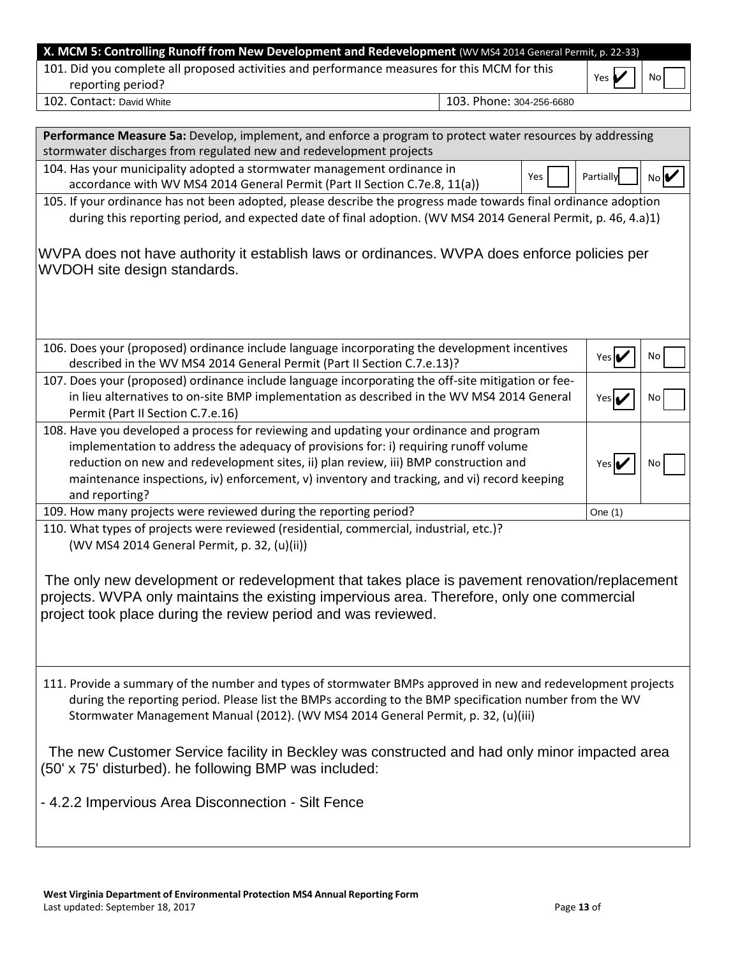| X. MCM 5: Controlling Runoff from New Development and Redevelopment (WV MS4 2014 General Permit, p. 22-33)                                                                                                                                                                                                                                                                                                                                                                                                                   |                          |                            |    |
|------------------------------------------------------------------------------------------------------------------------------------------------------------------------------------------------------------------------------------------------------------------------------------------------------------------------------------------------------------------------------------------------------------------------------------------------------------------------------------------------------------------------------|--------------------------|----------------------------|----|
| 101. Did you complete all proposed activities and performance measures for this MCM for this<br>reporting period?                                                                                                                                                                                                                                                                                                                                                                                                            |                          | Yes $\blacktriangleright$  | No |
| 102. Contact: David White                                                                                                                                                                                                                                                                                                                                                                                                                                                                                                    | 103. Phone: 304-256-6680 |                            |    |
|                                                                                                                                                                                                                                                                                                                                                                                                                                                                                                                              |                          |                            |    |
| Performance Measure 5a: Develop, implement, and enforce a program to protect water resources by addressing                                                                                                                                                                                                                                                                                                                                                                                                                   |                          |                            |    |
| stormwater discharges from regulated new and redevelopment projects                                                                                                                                                                                                                                                                                                                                                                                                                                                          |                          |                            |    |
| 104. Has your municipality adopted a stormwater management ordinance in                                                                                                                                                                                                                                                                                                                                                                                                                                                      | Yes                      | Partially                  | No |
| accordance with WV MS4 2014 General Permit (Part II Section C.7e.8, 11(a))                                                                                                                                                                                                                                                                                                                                                                                                                                                   |                          |                            |    |
| 105. If your ordinance has not been adopted, please describe the progress made towards final ordinance adoption                                                                                                                                                                                                                                                                                                                                                                                                              |                          |                            |    |
| during this reporting period, and expected date of final adoption. (WV MS4 2014 General Permit, p. 46, 4.a)1)                                                                                                                                                                                                                                                                                                                                                                                                                |                          |                            |    |
| WVPA does not have authority it establish laws or ordinances. WVPA does enforce policies per<br>WVDOH site design standards.                                                                                                                                                                                                                                                                                                                                                                                                 |                          |                            |    |
| 106. Does your (proposed) ordinance include language incorporating the development incentives<br>described in the WV MS4 2014 General Permit (Part II Section C.7.e.13)?                                                                                                                                                                                                                                                                                                                                                     |                          | Yes $\triangleright$       | No |
| 107. Does your (proposed) ordinance include language incorporating the off-site mitigation or fee-<br>in lieu alternatives to on-site BMP implementation as described in the WV MS4 2014 General<br>Permit (Part II Section C.7.e.16)                                                                                                                                                                                                                                                                                        |                          | Yesi                       | No |
| 108. Have you developed a process for reviewing and updating your ordinance and program<br>implementation to address the adequacy of provisions for: i) requiring runoff volume<br>reduction on new and redevelopment sites, ii) plan review, iii) BMP construction and<br>maintenance inspections, iv) enforcement, v) inventory and tracking, and vi) record keeping<br>and reporting?                                                                                                                                     |                          | Yes $\mathbf{\mathcal{V}}$ | No |
| 109. How many projects were reviewed during the reporting period?                                                                                                                                                                                                                                                                                                                                                                                                                                                            |                          | One $(1)$                  |    |
| 110. What types of projects were reviewed (residential, commercial, industrial, etc.)?<br>(WV MS4 2014 General Permit, p. 32, (u)(ii))<br>The only new development or redevelopment that takes place is pavement renovation/replacement<br>projects. WVPA only maintains the existing impervious area. Therefore, only one commercial<br>project took place during the review period and was reviewed.                                                                                                                       |                          |                            |    |
| 111. Provide a summary of the number and types of stormwater BMPs approved in new and redevelopment projects<br>during the reporting period. Please list the BMPs according to the BMP specification number from the WV<br>Stormwater Management Manual (2012). (WV MS4 2014 General Permit, p. 32, (u)(iii)<br>The new Customer Service facility in Beckley was constructed and had only minor impacted area<br>(50' x 75' disturbed). he following BMP was included:<br>- 4.2.2 Impervious Area Disconnection - Silt Fence |                          |                            |    |
|                                                                                                                                                                                                                                                                                                                                                                                                                                                                                                                              |                          |                            |    |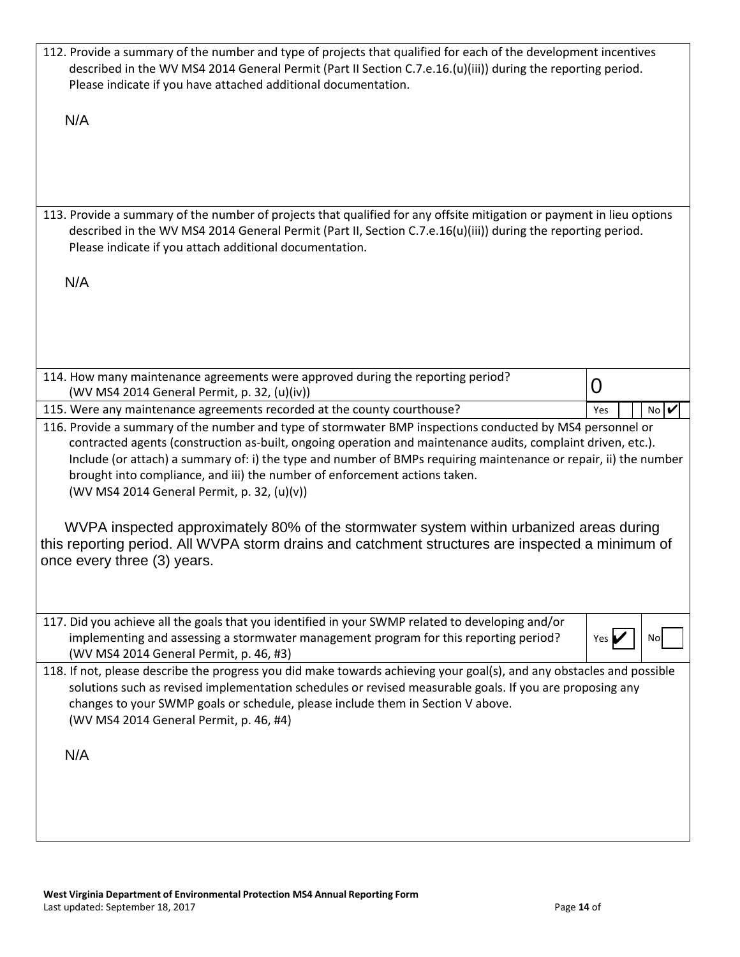| 112. Provide a summary of the number and type of projects that qualified for each of the development incentives<br>described in the WV MS4 2014 General Permit (Part II Section C.7.e.16.(u)(iii)) during the reporting period.<br>Please indicate if you have attached additional documentation.                                                                                                                                                                                                                                                                                                                                                                                                        |              |
|----------------------------------------------------------------------------------------------------------------------------------------------------------------------------------------------------------------------------------------------------------------------------------------------------------------------------------------------------------------------------------------------------------------------------------------------------------------------------------------------------------------------------------------------------------------------------------------------------------------------------------------------------------------------------------------------------------|--------------|
| N/A                                                                                                                                                                                                                                                                                                                                                                                                                                                                                                                                                                                                                                                                                                      |              |
| 113. Provide a summary of the number of projects that qualified for any offsite mitigation or payment in lieu options<br>described in the WV MS4 2014 General Permit (Part II, Section C.7.e.16(u)(iii)) during the reporting period.<br>Please indicate if you attach additional documentation.                                                                                                                                                                                                                                                                                                                                                                                                         |              |
| N/A                                                                                                                                                                                                                                                                                                                                                                                                                                                                                                                                                                                                                                                                                                      |              |
| 114. How many maintenance agreements were approved during the reporting period?<br>(WV MS4 2014 General Permit, p. 32, (u)(iv))                                                                                                                                                                                                                                                                                                                                                                                                                                                                                                                                                                          | 0            |
| 115. Were any maintenance agreements recorded at the county courthouse?                                                                                                                                                                                                                                                                                                                                                                                                                                                                                                                                                                                                                                  | No<br>Yes    |
| 116. Provide a summary of the number and type of stormwater BMP inspections conducted by MS4 personnel or<br>contracted agents (construction as-built, ongoing operation and maintenance audits, complaint driven, etc.).<br>Include (or attach) a summary of: i) the type and number of BMPs requiring maintenance or repair, ii) the number<br>brought into compliance, and iii) the number of enforcement actions taken.<br>(WV MS4 2014 General Permit, p. 32, (u)(v))<br>WVPA inspected approximately 80% of the stormwater system within urbanized areas during<br>this reporting period. All WVPA storm drains and catchment structures are inspected a minimum of<br>once every three (3) years. |              |
|                                                                                                                                                                                                                                                                                                                                                                                                                                                                                                                                                                                                                                                                                                          |              |
| 117. Did you achieve all the goals that you identified in your SWMP related to developing and/or<br>implementing and assessing a stormwater management program for this reporting period?<br>(WV MS4 2014 General Permit, p. 46, #3)                                                                                                                                                                                                                                                                                                                                                                                                                                                                     | Yes  <br>Nol |
| 118. If not, please describe the progress you did make towards achieving your goal(s), and any obstacles and possible<br>solutions such as revised implementation schedules or revised measurable goals. If you are proposing any<br>changes to your SWMP goals or schedule, please include them in Section V above.<br>(WV MS4 2014 General Permit, p. 46, #4)<br>N/A                                                                                                                                                                                                                                                                                                                                   |              |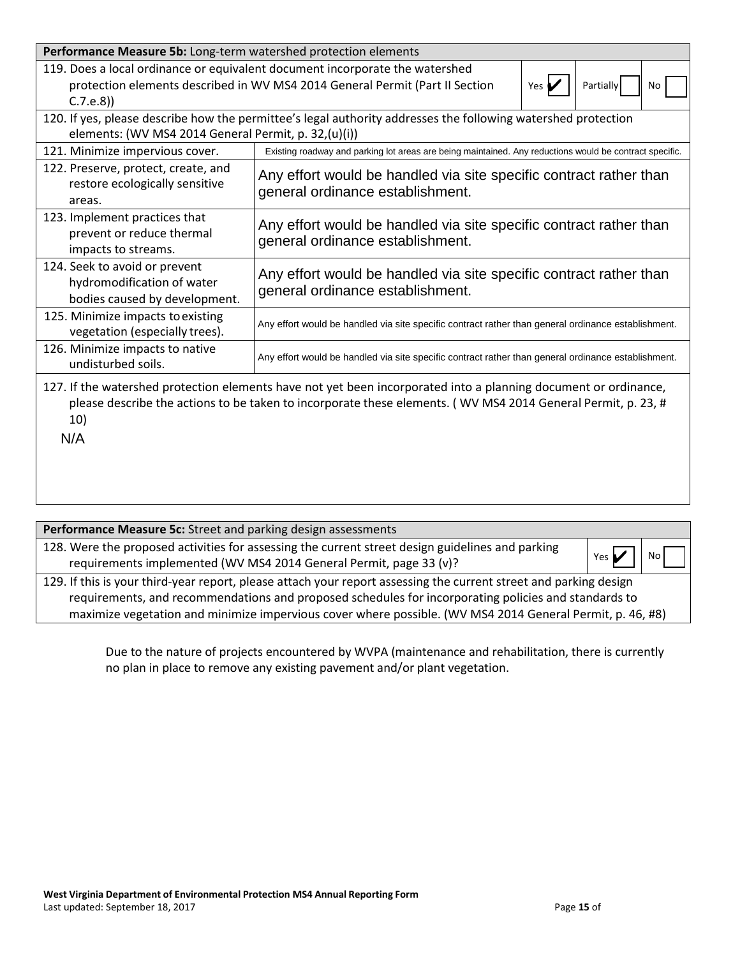| Performance Measure 5b: Long-term watershed protection elements                                                                                                                                                                 |                                                                                                                                                                                                              |  |  |  |  |
|---------------------------------------------------------------------------------------------------------------------------------------------------------------------------------------------------------------------------------|--------------------------------------------------------------------------------------------------------------------------------------------------------------------------------------------------------------|--|--|--|--|
| C.7.e.8)                                                                                                                                                                                                                        | 119. Does a local ordinance or equivalent document incorporate the watershed<br>protection elements described in WV MS4 2014 General Permit (Part II Section<br>Partially<br>Yes $\blacktriangleright$<br>No |  |  |  |  |
| 120. If yes, please describe how the permittee's legal authority addresses the following watershed protection<br>elements: (WV MS4 2014 General Permit, p. 32,(u)(i))                                                           |                                                                                                                                                                                                              |  |  |  |  |
| 121. Minimize impervious cover.                                                                                                                                                                                                 | Existing roadway and parking lot areas are being maintained. Any reductions would be contract specific.                                                                                                      |  |  |  |  |
| 122. Preserve, protect, create, and<br>restore ecologically sensitive<br>areas.                                                                                                                                                 | Any effort would be handled via site specific contract rather than<br>general ordinance establishment.                                                                                                       |  |  |  |  |
| 123. Implement practices that<br>prevent or reduce thermal<br>impacts to streams.                                                                                                                                               | Any effort would be handled via site specific contract rather than<br>general ordinance establishment.                                                                                                       |  |  |  |  |
| 124. Seek to avoid or prevent<br>hydromodification of water<br>bodies caused by development.                                                                                                                                    | Any effort would be handled via site specific contract rather than<br>general ordinance establishment.                                                                                                       |  |  |  |  |
| 125. Minimize impacts to existing<br>vegetation (especially trees).                                                                                                                                                             | Any effort would be handled via site specific contract rather than general ordinance establishment.                                                                                                          |  |  |  |  |
| 126. Minimize impacts to native<br>undisturbed soils.                                                                                                                                                                           | Any effort would be handled via site specific contract rather than general ordinance establishment.                                                                                                          |  |  |  |  |
| 127. If the watershed protection elements have not yet been incorporated into a planning document or ordinance,<br>please describe the actions to be taken to incorporate these elements. (WV MS4 2014 General Permit, p. 23, # |                                                                                                                                                                                                              |  |  |  |  |

10)

N/A

| Performance Measure 5c: Street and parking design assessments                                                                                                                                                                                                                                                                          |                           |      |
|----------------------------------------------------------------------------------------------------------------------------------------------------------------------------------------------------------------------------------------------------------------------------------------------------------------------------------------|---------------------------|------|
| 128. Were the proposed activities for assessing the current street design guidelines and parking<br>requirements implemented (WV MS4 2014 General Permit, page 33 (v)?                                                                                                                                                                 | Yes $\blacktriangleright$ | No l |
| 129. If this is your third-year report, please attach your report assessing the current street and parking design<br>requirements, and recommendations and proposed schedules for incorporating policies and standards to<br>maximize vegetation and minimize impervious cover where possible. (WV MS4 2014 General Permit, p. 46, #8) |                           |      |
|                                                                                                                                                                                                                                                                                                                                        |                           |      |

Due to the nature of projects encountered by WVPA (maintenance and rehabilitation, there is currently no plan in place to remove any existing pavement and/or plant vegetation.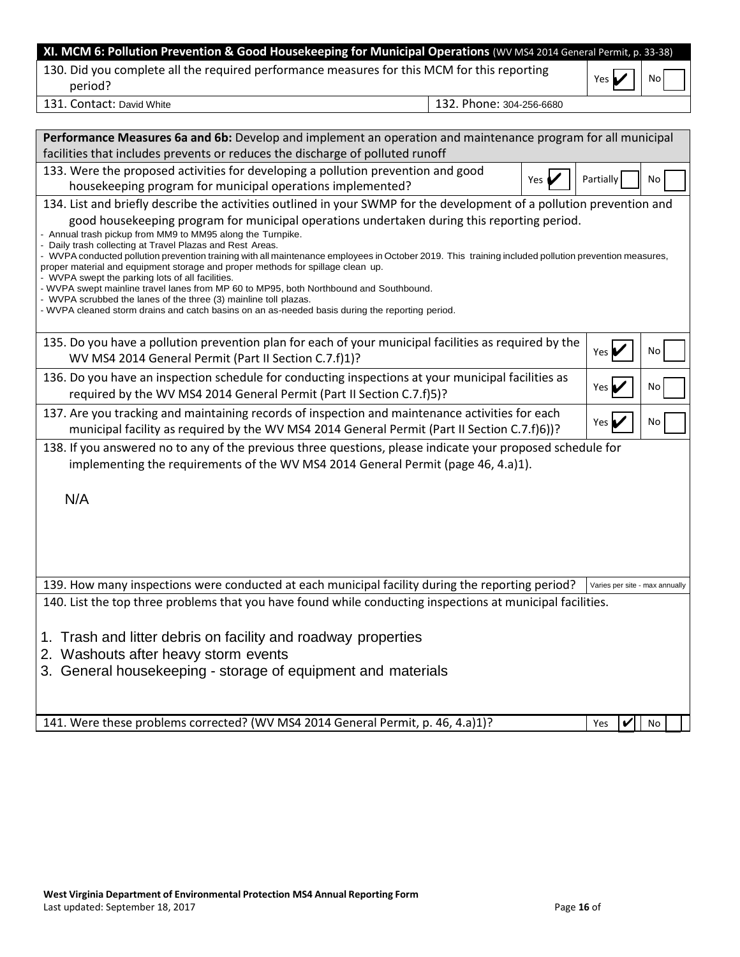| XI. MCM 6: Pollution Prevention & Good Housekeeping for Municipal Operations (WV MS4 2014 General Permit, p. 33-38)                                                                                                                                                                                                                                                                                                                                                                                                                                                                                                                                                                                                                                                                                                                                                                                             |                          |       |                                |    |
|-----------------------------------------------------------------------------------------------------------------------------------------------------------------------------------------------------------------------------------------------------------------------------------------------------------------------------------------------------------------------------------------------------------------------------------------------------------------------------------------------------------------------------------------------------------------------------------------------------------------------------------------------------------------------------------------------------------------------------------------------------------------------------------------------------------------------------------------------------------------------------------------------------------------|--------------------------|-------|--------------------------------|----|
| 130. Did you complete all the required performance measures for this MCM for this reporting<br>period?                                                                                                                                                                                                                                                                                                                                                                                                                                                                                                                                                                                                                                                                                                                                                                                                          |                          |       | Yes                            | No |
| 131. Contact: David White                                                                                                                                                                                                                                                                                                                                                                                                                                                                                                                                                                                                                                                                                                                                                                                                                                                                                       | 132. Phone: 304-256-6680 |       |                                |    |
|                                                                                                                                                                                                                                                                                                                                                                                                                                                                                                                                                                                                                                                                                                                                                                                                                                                                                                                 |                          |       |                                |    |
| Performance Measures 6a and 6b: Develop and implement an operation and maintenance program for all municipal<br>facilities that includes prevents or reduces the discharge of polluted runoff                                                                                                                                                                                                                                                                                                                                                                                                                                                                                                                                                                                                                                                                                                                   |                          |       |                                |    |
| 133. Were the proposed activities for developing a pollution prevention and good<br>housekeeping program for municipal operations implemented?                                                                                                                                                                                                                                                                                                                                                                                                                                                                                                                                                                                                                                                                                                                                                                  |                          | Yes ( | Partially                      | No |
| 134. List and briefly describe the activities outlined in your SWMP for the development of a pollution prevention and<br>good housekeeping program for municipal operations undertaken during this reporting period.<br>- Annual trash pickup from MM9 to MM95 along the Turnpike.<br>- Daily trash collecting at Travel Plazas and Rest Areas.<br>- WVPA conducted pollution prevention training with all maintenance employees in October 2019. This training included pollution prevention measures,<br>proper material and equipment storage and proper methods for spillage clean up.<br>- WVPA swept the parking lots of all facilities.<br>- WVPA swept mainline travel lanes from MP 60 to MP95, both Northbound and Southbound.<br>- WVPA scrubbed the lanes of the three (3) mainline toll plazas.<br>- WVPA cleaned storm drains and catch basins on an as-needed basis during the reporting period. |                          |       |                                |    |
| 135. Do you have a pollution prevention plan for each of your municipal facilities as required by the<br>WV MS4 2014 General Permit (Part II Section C.7.f)1)?                                                                                                                                                                                                                                                                                                                                                                                                                                                                                                                                                                                                                                                                                                                                                  |                          |       | Yes $\blacktriangleright$      | No |
| 136. Do you have an inspection schedule for conducting inspections at your municipal facilities as<br>required by the WV MS4 2014 General Permit (Part II Section C.7.f)5)?                                                                                                                                                                                                                                                                                                                                                                                                                                                                                                                                                                                                                                                                                                                                     |                          |       | Yes $\blacktriangleright$      | No |
| 137. Are you tracking and maintaining records of inspection and maintenance activities for each<br>municipal facility as required by the WV MS4 2014 General Permit (Part II Section C.7.f)6))?                                                                                                                                                                                                                                                                                                                                                                                                                                                                                                                                                                                                                                                                                                                 |                          |       | Yes $\blacktriangleright$      | No |
| 138. If you answered no to any of the previous three questions, please indicate your proposed schedule for<br>implementing the requirements of the WV MS4 2014 General Permit (page 46, 4.a)1).                                                                                                                                                                                                                                                                                                                                                                                                                                                                                                                                                                                                                                                                                                                 |                          |       |                                |    |
| N/A                                                                                                                                                                                                                                                                                                                                                                                                                                                                                                                                                                                                                                                                                                                                                                                                                                                                                                             |                          |       |                                |    |
| 139. How many inspections were conducted at each municipal facility during the reporting period?                                                                                                                                                                                                                                                                                                                                                                                                                                                                                                                                                                                                                                                                                                                                                                                                                |                          |       | Varies per site - max annually |    |
| 140. List the top three problems that you have found while conducting inspections at municipal facilities.                                                                                                                                                                                                                                                                                                                                                                                                                                                                                                                                                                                                                                                                                                                                                                                                      |                          |       |                                |    |
| 1. Trash and litter debris on facility and roadway properties<br>2. Washouts after heavy storm events<br>3. General housekeeping - storage of equipment and materials                                                                                                                                                                                                                                                                                                                                                                                                                                                                                                                                                                                                                                                                                                                                           |                          |       |                                |    |
| 141. Were these problems corrected? (WV MS4 2014 General Permit, p. 46, 4.a)1)?                                                                                                                                                                                                                                                                                                                                                                                                                                                                                                                                                                                                                                                                                                                                                                                                                                 |                          |       | Yes<br>V                       | No |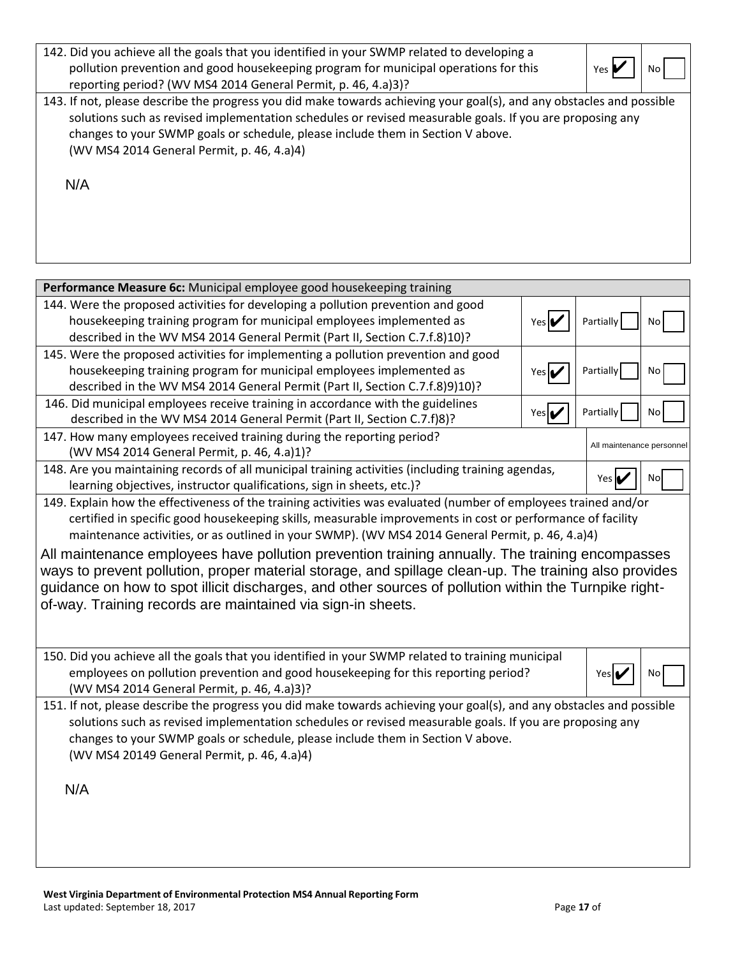| 142. Did you achieve all the goals that you identified in your SWMP related to developing a<br>pollution prevention and good housekeeping program for municipal operations for this<br>reporting period? (WV MS4 2014 General Permit, p. 46, 4.a)3)?                                                                                                                      | Yes |  |
|---------------------------------------------------------------------------------------------------------------------------------------------------------------------------------------------------------------------------------------------------------------------------------------------------------------------------------------------------------------------------|-----|--|
| 143. If not, please describe the progress you did make towards achieving your goal(s), and any obstacles and possible<br>solutions such as revised implementation schedules or revised measurable goals. If you are proposing any<br>changes to your SWMP goals or schedule, please include them in Section V above.<br>(WV MS4 2014 General Permit, p. 46, 4.a)4)<br>N/A |     |  |
|                                                                                                                                                                                                                                                                                                                                                                           |     |  |

| Performance Measure 6c: Municipal employee good housekeeping training                                                                                                        |              |                                    |           |
|------------------------------------------------------------------------------------------------------------------------------------------------------------------------------|--------------|------------------------------------|-----------|
| 144. Were the proposed activities for developing a pollution prevention and good                                                                                             |              |                                    |           |
| housekeeping training program for municipal employees implemented as                                                                                                         | Yes <b>I</b> | Partially                          | No        |
| described in the WV MS4 2014 General Permit (Part II, Section C.7.f.8)10)?                                                                                                   |              |                                    |           |
| 145. Were the proposed activities for implementing a pollution prevention and good                                                                                           |              |                                    |           |
| housekeeping training program for municipal employees implemented as                                                                                                         | Yes la       | Partially                          | No        |
| described in the WV MS4 2014 General Permit (Part II, Section C.7.f.8)9)10)?                                                                                                 |              |                                    |           |
| 146. Did municipal employees receive training in accordance with the guidelines                                                                                              | Yes          | Partially                          | No        |
| described in the WV MS4 2014 General Permit (Part II, Section C.7.f)8)?                                                                                                      |              |                                    |           |
| 147. How many employees received training during the reporting period?                                                                                                       |              | All maintenance personnel          |           |
| (WV MS4 2014 General Permit, p. 46, 4.a)1)?                                                                                                                                  |              |                                    |           |
| 148. Are you maintaining records of all municipal training activities (including training agendas,<br>learning objectives, instructor qualifications, sign in sheets, etc.)? |              | Yes $\mathbf{\mathbf{\mathsf{L}}}$ | <b>No</b> |
| 149. Explain how the effectiveness of the training activities was evaluated (number of employees trained and/or                                                              |              |                                    |           |
| certified in specific good housekeeping skills, measurable improvements in cost or performance of facility                                                                   |              |                                    |           |
| maintenance activities, or as outlined in your SWMP). (WV MS4 2014 General Permit, p. 46, 4.a)4)                                                                             |              |                                    |           |
| All maintenance employees have pollution prevention training annually. The training encompasses                                                                              |              |                                    |           |
| ways to prevent pollution, proper material storage, and spillage clean-up. The training also provides                                                                        |              |                                    |           |
| guidance on how to spot illicit discharges, and other sources of pollution within the Turnpike right-                                                                        |              |                                    |           |
| of-way. Training records are maintained via sign-in sheets.                                                                                                                  |              |                                    |           |
|                                                                                                                                                                              |              |                                    |           |
|                                                                                                                                                                              |              |                                    |           |
| 150. Did you achieve all the goals that you identified in your SWMP related to training municipal                                                                            |              |                                    |           |
| employees on pollution prevention and good housekeeping for this reporting period?                                                                                           |              | Yes                                | No        |
| (WV MS4 2014 General Permit, p. 46, 4.a)3)?                                                                                                                                  |              |                                    |           |
| 151. If not, please describe the progress you did make towards achieving your goal(s), and any obstacles and possible                                                        |              |                                    |           |
| solutions such as revised implementation schedules or revised measurable goals. If you are proposing any                                                                     |              |                                    |           |
| changes to your SWMP goals or schedule, please include them in Section V above.                                                                                              |              |                                    |           |
| (WV MS4 20149 General Permit, p. 46, 4.a)4)                                                                                                                                  |              |                                    |           |
|                                                                                                                                                                              |              |                                    |           |
| N/A                                                                                                                                                                          |              |                                    |           |
|                                                                                                                                                                              |              |                                    |           |
|                                                                                                                                                                              |              |                                    |           |
|                                                                                                                                                                              |              |                                    |           |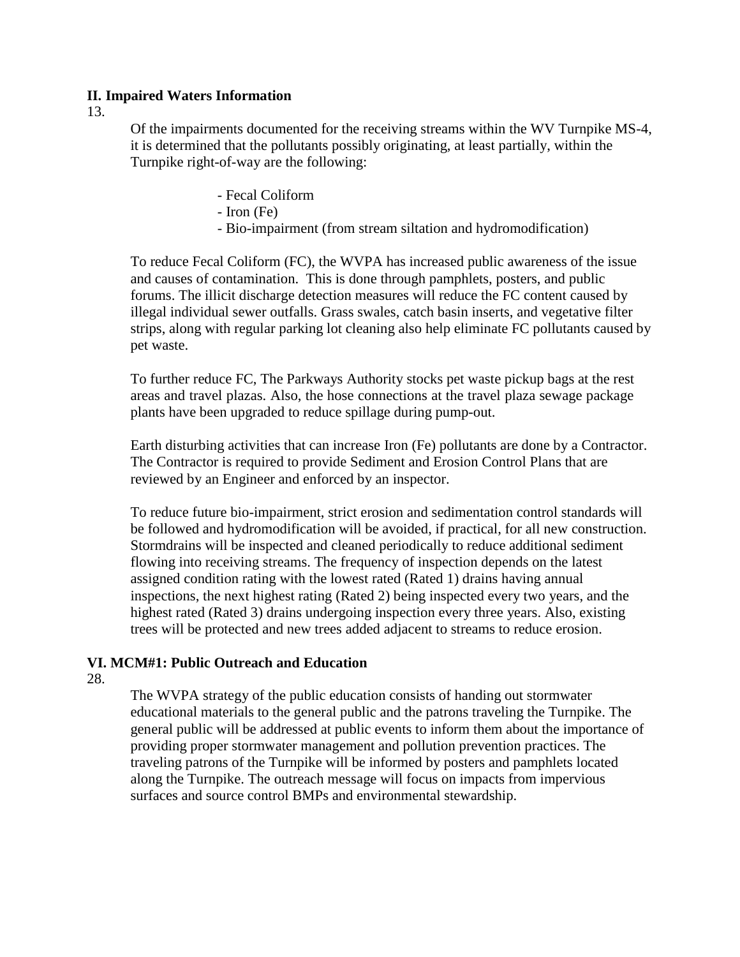# **II. Impaired Waters Information**

13.

Of the impairments documented for the receiving streams within the WV Turnpike MS-4, it is determined that the pollutants possibly originating, at least partially, within the Turnpike right-of-way are the following:

- Fecal Coliform
- Iron (Fe)
- Bio-impairment (from stream siltation and hydromodification)

To reduce Fecal Coliform (FC), the WVPA has increased public awareness of the issue and causes of contamination. This is done through pamphlets, posters, and public forums. The illicit discharge detection measures will reduce the FC content caused by illegal individual sewer outfalls. Grass swales, catch basin inserts, and vegetative filter strips, along with regular parking lot cleaning also help eliminate FC pollutants caused by pet waste.

To further reduce FC, The Parkways Authority stocks pet waste pickup bags at the rest areas and travel plazas. Also, the hose connections at the travel plaza sewage package plants have been upgraded to reduce spillage during pump-out.

Earth disturbing activities that can increase Iron (Fe) pollutants are done by a Contractor. The Contractor is required to provide Sediment and Erosion Control Plans that are reviewed by an Engineer and enforced by an inspector.

To reduce future bio-impairment, strict erosion and sedimentation control standards will be followed and hydromodification will be avoided, if practical, for all new construction. Stormdrains will be inspected and cleaned periodically to reduce additional sediment flowing into receiving streams. The frequency of inspection depends on the latest assigned condition rating with the lowest rated (Rated 1) drains having annual inspections, the next highest rating (Rated 2) being inspected every two years, and the highest rated (Rated 3) drains undergoing inspection every three years. Also, existing trees will be protected and new trees added adjacent to streams to reduce erosion.

# **VI. MCM#1: Public Outreach and Education**

# 28.

The WVPA strategy of the public education consists of handing out stormwater educational materials to the general public and the patrons traveling the Turnpike. The general public will be addressed at public events to inform them about the importance of providing proper stormwater management and pollution prevention practices. The traveling patrons of the Turnpike will be informed by posters and pamphlets located along the Turnpike. The outreach message will focus on impacts from impervious surfaces and source control BMPs and environmental stewardship.